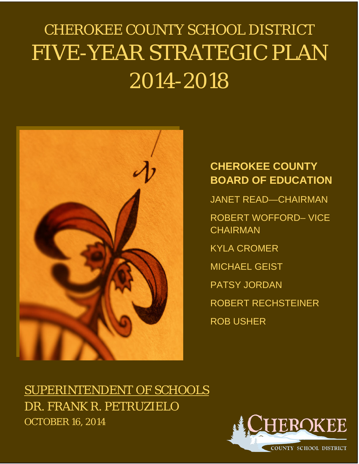# CHEROKEE COUNTY SCHOOL DISTRICT FIVE-YEAR STRATEGIC PLAN 2014-2018



## **CHEROKEE COUNTY BOARD OF EDUCATION**

JANET READ—CHAIRMAN

ROBERT WOFFORD– VICE **CHAIRMAN** 

KYLA CROMER

MICHAEL GEIST

PATSY JORDAN

ROBERT RECHSTEINER

ROB USHER

SUPERINTENDENT OF SCHOOLS DR. FRANK R. PETRUZIELO OCTOBER 16, 2014

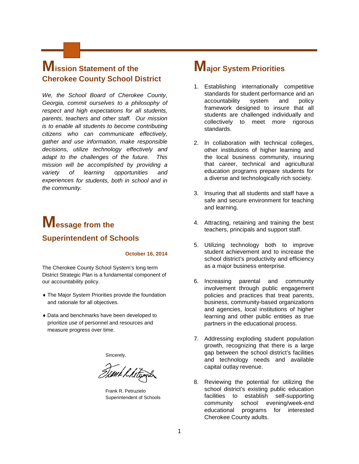### **Mission Statement of the Cherokee County School District**

*We, the School Board of Cherokee County, Georgia, commit ourselves to a philosophy of respect and high expectations for all students, parents, teachers and other staff. Our mission is to enable all students to become contributing citizens who can communicate effectively, gather and use information, make responsible decisions, utilize technology effectively and adapt to the challenges of the future. This mission will be accomplished by providing a variety of learning opportunities and experiences for students, both in school and in the community.*

# **Message from the Superintendent of Schools**

#### **October 16, 2014**

The Cherokee County School System's long term District Strategic Plan is a fundamental component of our accountability policy.

- ♦ The Major System Priorities provide the foundation and rationale for all objectives.
- ♦ Data and benchmarks have been developed to prioritize use of personnel and resources and measure progress over time.

Sincerely,

Timk & hitswi

Frank R. Petruzielo Superintendent of Schools

### **Major System Priorities**

- 1. Establishing internationally competitive standards for student performance and an accountability system and policy framework designed to insure that all students are challenged individually and collectively to meet more rigorous standards.
- 2. In collaboration with technical colleges, other institutions of higher learning and the local business community, insuring that career, technical and agricultural education programs prepare students for a diverse and technologically rich society.
- 3. Insuring that all students and staff have a safe and secure environment for teaching and learning.
- 4. Attracting, retaining and training the best teachers, principals and support staff.
- 5. Utilizing technology both to improve student achievement and to increase the school district's productivity and efficiency as a major business enterprise.
- 6. Increasing parental and community involvement through public engagement policies and practices that treat parents, business, community-based organizations and agencies, local institutions of higher learning and other public entities as true partners in the educational process.
- 7. Addressing exploding student population growth, recognizing that there is a large gap between the school district's facilities and technology needs and available capital outlay revenue.
- 8. Reviewing the potential for utilizing the school district's existing public education facilities to establish self-supporting community school evening/week-end educational programs for interested Cherokee County adults.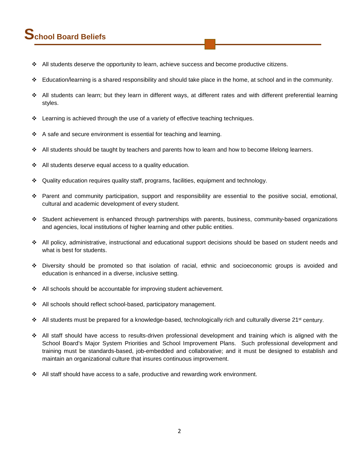# **School Board Beliefs**

- All students deserve the opportunity to learn, achieve success and become productive citizens.
- $\div$  Education/learning is a shared responsibility and should take place in the home, at school and in the community.
- All students can learn; but they learn in different ways, at different rates and with different preferential learning styles.
- $\div$  Learning is achieved through the use of a variety of effective teaching techniques.
- $\div$  A safe and secure environment is essential for teaching and learning.
- $\div$  All students should be taught by teachers and parents how to learn and how to become lifelong learners.
- $\div$  All students deserve equal access to a quality education.
- Quality education requires quality staff, programs, facilities, equipment and technology.
- Parent and community participation, support and responsibility are essential to the positive social, emotional, cultural and academic development of every student.
- Student achievement is enhanced through partnerships with parents, business, community-based organizations and agencies, local institutions of higher learning and other public entities.
- All policy, administrative, instructional and educational support decisions should be based on student needs and what is best for students.
- Diversity should be promoted so that isolation of racial, ethnic and socioeconomic groups is avoided and education is enhanced in a diverse, inclusive setting.
- $\div$  All schools should be accountable for improving student achievement.
- All schools should reflect school-based, participatory management.
- $\bullet$  All students must be prepared for a knowledge-based, technologically rich and culturally diverse 21<sup>st</sup> century.
- All staff should have access to results-driven professional development and training which is aligned with the School Board's Major System Priorities and School Improvement Plans. Such professional development and training must be standards-based, job-embedded and collaborative; and it must be designed to establish and maintain an organizational culture that insures continuous improvement.
- $\div$  All staff should have access to a safe, productive and rewarding work environment.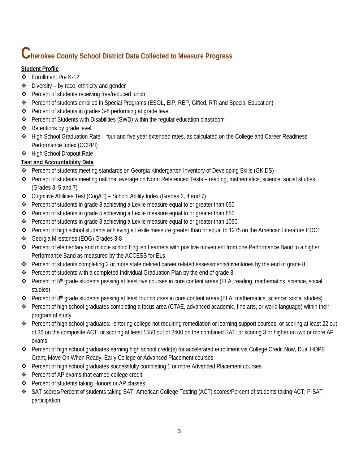# **Cherokee County School District Data Collected to Measure Progress**

#### **Student Profile**

- Enrollment Pre K-12
- $\div$  Diversity by race, ethnicity and gender
- ❖ Percent of students receiving free/reduced lunch
- Percent of students enrolled in Special Programs (ESOL, EIP, REP, Gifted, RTI and Special Education)
- Percent of students in grades 3-8 performing at grade level
- Percent of Students with Disabilities (SWD) within the regular education classroom
- ❖ Retentions by grade level
- High School Graduation Rate four and five year extended rates, as calculated on the College and Career Readiness Performance Index (CCRPI)
- High School Dropout Rate

#### **Test and Accountability Data**

- Percent of students meeting standards on Georgia Kindergarten Inventory of Developing Skills (GKIDS)
- Percent of students meeting national average on Norm Referenced Tests reading, mathematics, science, social studies (Grades 3, 5 and 7)
- Cognitive Abilities Test (CogAT) School Ability Index (Grades 2, 4 and 7)
- Percent of students in grade 3 achieving a Lexile measure equal to or greater than 650
- Percent of students in grade 5 achieving a Lexile measure equal to or greater than 850
- Percent of students in grade 8 achieving a Lexile measure equal to or greater than 1050
- Percent of high school students achieving a Lexile measure greater than or equal to 1275 on the American Literature EOCT
- Georgia Milestones (EOG) Grades 3-8
- Percent of elementary and middle school English Learners with positive movement from one Performance Band to a higher Performance Band as measured by the ACCESS for ELs
- Percent of students completing 2 or more state defined career related assessments/inventories by the end of grade 8
- **Percent of students with a completed Individual Graduation Plan by the end of grade 8**
- Percent of 5<sup>th</sup> grade students passing at least five courses in core content areas (ELA, reading, mathematics, science, social studies)
- Percent of 8<sup>th</sup> grade students passing at least four courses in core content areas (ELA, mathematics, science, social studies)
- Percent of high school graduates completing a focus area (CTAE, advanced academic, fine arts, or world language) within their program of study
- Percent of high school graduates: entering college not requiring remediation or learning support courses; or scoring at least 22 out of 36 on the composite ACT; or scoring at least 1550 out of 2400 on the combined SAT; or scoring 3 or higher on two or more AP exams
- Percent of high school graduates earning high school credit(s) for accelerated enrollment via College Credit Now, Dual HOPE Grant, Move On When Ready, Early College or Advanced Placement courses
- Percent of high school graduates successfully completing 1 or more Advanced Placement courses
- Percent of AP exams that earned college credit
- Percent of students taking Honors or AP classes
- SAT scores/Percent of students taking SAT; American College Testing (ACT) scores/Percent of students taking ACT; P-SAT participation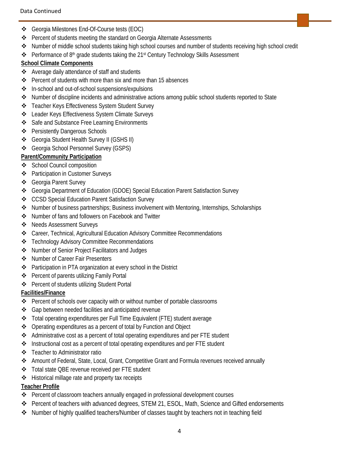- Georgia Milestones End-Of-Course tests (EOC)
- Percent of students meeting the standard on Georgia Alternate Assessments
- Number of middle school students taking high school courses and number of students receiving high school credit
- ◆ Performance of 8<sup>th</sup> grade students taking the 21<sup>st</sup> Century Technology Skills Assessment

#### **School Climate Components**

- Average daily attendance of staff and students
- Percent of students with more than six and more than 15 absences
- ❖ In-school and out-of-school suspensions/expulsions
- Number of discipline incidents and administrative actions among public school students reported to State
- Teacher Keys Effectiveness System Student Survey
- Leader Keys Effectiveness System Climate Surveys
- ❖ Safe and Substance Free Learning Environments
- ❖ Persistently Dangerous Schools
- Georgia Student Health Survey II (GSHS II)
- Georgia School Personnel Survey (GSPS)

#### **Parent/Community Participation**

- ❖ School Council composition
- Participation in Customer Surveys
- Georgia Parent Survey
- Georgia Department of Education (GDOE) Special Education Parent Satisfaction Survey
- CCSD Special Education Parent Satisfaction Survey
- Number of business partnerships; Business involvement with Mentoring, Internships, Scholarships
- Number of fans and followers on Facebook and Twitter
- Needs Assessment Surveys
- Career, Technical, Agricultural Education Advisory Committee Recommendations
- Technology Advisory Committee Recommendations
- ❖ Number of Senior Project Facilitators and Judges
- ❖ Number of Career Fair Presenters
- Participation in PTA organization at every school in the District
- ❖ Percent of parents utilizing Family Portal
- ❖ Percent of students utilizing Student Portal

#### **Facilities/Finance**

- Percent of schools over capacity with or without number of portable classrooms
- ❖ Gap between needed facilities and anticipated revenue
- Total operating expenditures per Full Time Equivalent (FTE) student average
- Operating expenditures as a percent of total by Function and Object
- Administrative cost as a percent of total operating expenditures and per FTE student
- Instructional cost as a percent of total operating expenditures and per FTE student
- **❖** Teacher to Administrator ratio
- Amount of Federal, State, Local, Grant, Competitive Grant and Formula revenues received annually
- Total state QBE revenue received per FTE student
- Historical millage rate and property tax receipts

#### **Teacher Profile**

- Percent of classroom teachers annually engaged in professional development courses
- Percent of teachers with advanced degrees, STEM 21, ESOL, Math, Science and Gifted endorsements
- ◆ Number of highly qualified teachers/Number of classes taught by teachers not in teaching field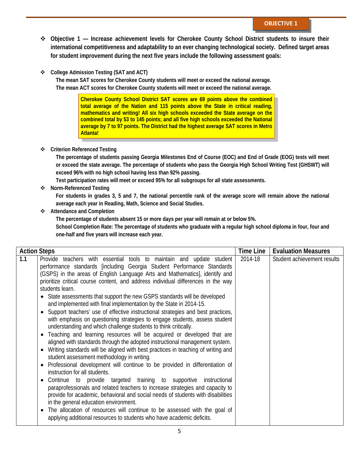- **Objective 1 — Increase achievement levels for Cherokee County School District students to insure their international competitiveness and adaptability to an ever changing technological society. Defined target areas for student improvement during the next five years include the following assessment goals:**
- **College Admission Testing (SAT and ACT)**

**The mean SAT scores for Cherokee County students will meet or exceed the national average. The mean ACT scores for Cherokee County students will meet or exceed the national average.**

> **Cherokee County School District SAT scores are 69 points above the combined total average of the Nation and 115 points above the State in critical reading, mathematics and writing! All six high schools exceeded the State average on the combined total by 53 to 145 points; and all five high schools exceeded the National average by 7 to 97 points. The District had the highest average SAT scores in Metro Atlanta!**

#### **Criterion Referenced Testing**

**The percentage of students passing Georgia Milestones End of Course (EOC) and End of Grade (EOG) tests will meet or exceed the state average. The percentage of students who pass the Georgia High School Writing Test (GHSWT) will exceed 96% with no high school having less than 92% passing.**

**Test participation rates will meet or exceed 95% for all subgroups for all state assessments.**

**Norm-Referenced Testing**

**For students in grades 3, 5 and 7, the national percentile rank of the average score will remain above the national average each year in Reading, Math, Science and Social Studies.**

**Attendance and Completion**

**The percentage of students absent 15 or more days per year will remain at or below 5%.**

**School Completion Rate: The percentage of students who graduate with a regular high school diploma in four, four and one-half and five years will increase each year.**

| 1.1<br>2014-18<br>Provide teachers with essential tools to maintain and update student<br>Student achievement results<br>performance standards [including Georgia Student Performance Standards<br>(GSPS) in the areas of English Language Arts and Mathematics], identify and<br>prioritize critical course content, and address individual differences in the way<br>students learn.                                                                                                                                                                                                                                                                                                                                                                                                                                                                                                                                                                                                                                                                                                                                                                                                                                                                                                                                             |
|------------------------------------------------------------------------------------------------------------------------------------------------------------------------------------------------------------------------------------------------------------------------------------------------------------------------------------------------------------------------------------------------------------------------------------------------------------------------------------------------------------------------------------------------------------------------------------------------------------------------------------------------------------------------------------------------------------------------------------------------------------------------------------------------------------------------------------------------------------------------------------------------------------------------------------------------------------------------------------------------------------------------------------------------------------------------------------------------------------------------------------------------------------------------------------------------------------------------------------------------------------------------------------------------------------------------------------|
| State assessments that support the new GSPS standards will be developed<br>$\bullet$<br>and implemented with final implementation by the State in 2014-15.<br>Support teachers' use of effective instructional strategies and best practices,<br>$\bullet$<br>with emphasis on questioning strategies to engage students, assess student<br>understanding and which challenge students to think critically.<br>Teaching and learning resources will be acquired or developed that are<br>$\bullet$<br>aligned with standards through the adopted instructional management system.<br>Writing standards will be aligned with best practices in teaching of writing and<br>$\bullet$<br>student assessment methodology in writing.<br>Professional development will continue to be provided in differentiation of<br>$\bullet$<br>instruction for all students.<br>Continue to provide targeted training to supportive<br>instructional<br>$\bullet$<br>paraprofessionals and related teachers to increase strategies and capacity to<br>provide for academic, behavioral and social needs of students with disabilities<br>in the general education environment.<br>The allocation of resources will continue to be assessed with the goal of<br>$\bullet$<br>applying additional resources to students who have academic deficits. |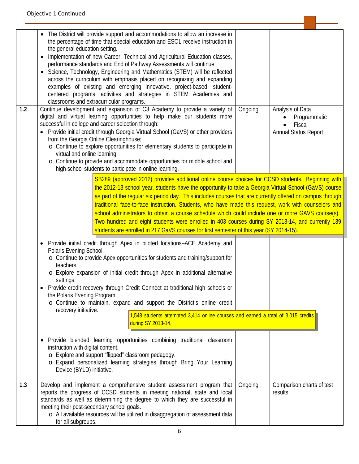|     | • The District will provide support and accommodations to allow an increase in<br>the percentage of time that special education and ESOL receive instruction in<br>the general education setting.<br>Implementation of new Career, Technical and Agricultural Education classes,<br>performance standards and End of Pathway Assessments will continue.<br>• Science, Technology, Engineering and Mathematics (STEM) will be reflected<br>across the curriculum with emphasis placed on recognizing and expanding<br>examples of existing and emerging innovative, project-based, student-<br>centered programs, activities and strategies in STEM Academies and<br>classrooms and extracurricular programs.                        |         |                                                                    |
|-----|-------------------------------------------------------------------------------------------------------------------------------------------------------------------------------------------------------------------------------------------------------------------------------------------------------------------------------------------------------------------------------------------------------------------------------------------------------------------------------------------------------------------------------------------------------------------------------------------------------------------------------------------------------------------------------------------------------------------------------------|---------|--------------------------------------------------------------------|
| 1.2 | Continue development and expansion of C3 Academy to provide a variety of<br>digital and virtual learning opportunities to help make our students more<br>successful in college and career selection through:<br>• Provide initial credit through Georgia Virtual School (GaVS) or other providers<br>from the Georgia Online Clearinghouse;<br>o Continue to explore opportunities for elementary students to participate in<br>virtual and online learning.<br>o Continue to provide and accommodate opportunities for middle school and<br>high school students to participate in online learning.                                                                                                                                | Ongoing | Analysis of Data<br>Programmatic<br>Fiscal<br>Annual Status Report |
|     | SB289 (approved 2012) provides additional online course choices for CCSD students. Beginning with<br>the 2012-13 school year, students have the opportunity to take a Georgia Virtual School (GaVS) course<br>as part of the regular six period day. This includes courses that are currently offered on campus through<br>traditional face-to-face instruction. Students, who have made this request, work with counselors and<br>school administrators to obtain a course schedule which could include one or more GAVS course(s).<br>Two hundred and eight students were enrolled in 403 courses during SY 2013-14, and currently 139<br>students are enrolled in 217 GaVS courses for first semester of this year (SY 2014-15). |         |                                                                    |
|     | Provide initial credit through Apex in piloted locations-ACE Academy and<br>$\bullet$<br>Polaris Evening School.<br>o Continue to provide Apex opportunities for students and training/support for<br>teachers.<br>o Explore expansion of initial credit through Apex in additional alternative<br>settings.<br>Provide credit recovery through Credit Connect at traditional high schools or<br>the Polaris Evening Program.<br>o Continue to maintain, expand and support the District's online credit<br>recovery initiative.<br>1,548 students attempted 3,414 online courses and earned a total of 3,015 credits<br>during SY 2013-14.                                                                                         |         |                                                                    |
|     | Provide blended learning opportunities combining traditional classroom<br>instruction with digital content.<br>o Explore and support "flipped" classroom pedagogy.<br>o Expand personalized learning strategies through Bring Your Learning<br>Device (BYLD) initiative.                                                                                                                                                                                                                                                                                                                                                                                                                                                            |         |                                                                    |
| 1.3 | Develop and implement a comprehensive student assessment program that<br>reports the progress of CCSD students in meeting national, state and local<br>standards as well as determining the degree to which they are successful in<br>meeting their post-secondary school goals.<br>o All available resources will be utilized in disaggregation of assessment data<br>for all subgroups.                                                                                                                                                                                                                                                                                                                                           | Ongoing | Comparison charts of test<br>results                               |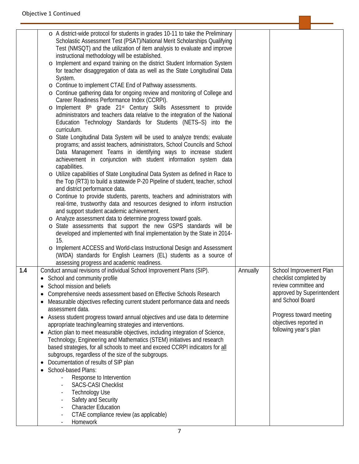|     | o A district-wide protocol for students in grades 10-11 to take the Preliminary<br>Scholastic Assessment Test (PSAT)/National Merit Scholarships Qualifying<br>Test (NMSQT) and the utilization of item analysis to evaluate and improve<br>instructional methodology will be established.<br>o Implement and expand training on the district Student Information System<br>for teacher disaggregation of data as well as the State Longitudinal Data<br>System.<br>o Continue to implement CTAE End of Pathway assessments.<br>o Continue gathering data for ongoing review and monitoring of College and<br>Career Readiness Performance Index (CCRPI).<br>o Implement 8th grade 21st Century Skills Assessment to provide<br>administrators and teachers data relative to the integration of the National<br>Education Technology Standards for Students (NETS-S) into the<br>curriculum.<br>o State Longitudinal Data System will be used to analyze trends; evaluate<br>programs; and assist teachers, administrators, School Councils and School<br>Data Management Teams in identifying ways to increase student<br>achievement in conjunction with student information system data<br>capabilities.<br>o Utilize capabilities of State Longitudinal Data System as defined in Race to<br>the Top (RT3) to build a statewide P-20 Pipeline of student, teacher, school<br>and district performance data.<br>o Continue to provide students, parents, teachers and administrators with<br>real-time, trustworthy data and resources designed to inform instruction<br>and support student academic achievement.<br>o Analyze assessment data to determine progress toward goals.<br>o State assessments that support the new GSPS standards will be<br>developed and implemented with final implementation by the State in 2014-<br>15.<br>o Implement ACCESS and World-class Instructional Design and Assessment<br>(WIDA) standards for English Learners (EL) students as a source of |          |                                                                                                                                                                                                           |
|-----|-----------------------------------------------------------------------------------------------------------------------------------------------------------------------------------------------------------------------------------------------------------------------------------------------------------------------------------------------------------------------------------------------------------------------------------------------------------------------------------------------------------------------------------------------------------------------------------------------------------------------------------------------------------------------------------------------------------------------------------------------------------------------------------------------------------------------------------------------------------------------------------------------------------------------------------------------------------------------------------------------------------------------------------------------------------------------------------------------------------------------------------------------------------------------------------------------------------------------------------------------------------------------------------------------------------------------------------------------------------------------------------------------------------------------------------------------------------------------------------------------------------------------------------------------------------------------------------------------------------------------------------------------------------------------------------------------------------------------------------------------------------------------------------------------------------------------------------------------------------------------------------------------------------------------------------------------------------------------------------------------|----------|-----------------------------------------------------------------------------------------------------------------------------------------------------------------------------------------------------------|
| 1.4 | assessing progress and academic readiness.<br>Conduct annual revisions of individual School Improvement Plans (SIP).<br>• School and community profile<br>School mission and beliefs<br>Comprehensive needs assessment based on Effective Schools Research<br>Measurable objectives reflecting current student performance data and needs<br>٠<br>assessment data.<br>Assess student progress toward annual objectives and use data to determine<br>٠<br>appropriate teaching/learning strategies and interventions.<br>Action plan to meet measurable objectives, including integration of Science,<br>$\bullet$<br>Technology, Engineering and Mathematics (STEM) initiatives and research<br>based strategies, for all schools to meet and exceed CCRPI indicators for all<br>subgroups, regardless of the size of the subgroups.<br>Documentation of results of SIP plan<br>School-based Plans:<br>Response to Intervention<br><b>SACS-CASI Checklist</b><br><b>Technology Use</b><br>Safety and Security<br><b>Character Education</b><br>CTAE compliance review (as applicable)<br>Homework                                                                                                                                                                                                                                                                                                                                                                                                                                                                                                                                                                                                                                                                                                                                                                                                                                                                                             | Annually | School Improvement Plan<br>checklist completed by<br>review committee and<br>approved by Superintendent<br>and School Board<br>Progress toward meeting<br>objectives reported in<br>following year's plan |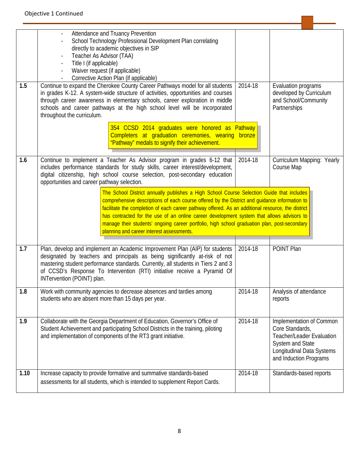| 1.5  | Attendance and Truancy Prevention<br>School Technology Professional Development Plan correlating<br>directly to academic objectives in SIP<br>Teacher As Advisor (TAA)<br>Title I (if applicable)<br>Waiver request (if applicable)<br>Corrective Action Plan (if applicable)<br>Continue to expand the Cherokee County Career Pathways model for all students<br>in grades K-12. A system-wide structure of activities, opportunities and courses<br>through career awareness in elementary schools, career exploration in middle<br>schools and career pathways at the high school level will be incorporated<br>throughout the curriculum. | 2014-18 | Evaluation programs<br>developed by Curriculum<br>and School/Community<br>Partnerships                                                                            |
|------|-----------------------------------------------------------------------------------------------------------------------------------------------------------------------------------------------------------------------------------------------------------------------------------------------------------------------------------------------------------------------------------------------------------------------------------------------------------------------------------------------------------------------------------------------------------------------------------------------------------------------------------------------|---------|-------------------------------------------------------------------------------------------------------------------------------------------------------------------|
|      | 354 CCSD 2014 graduates were honored as Pathway<br>Completers at graduation ceremonies, wearing bronze<br>"Pathway" medals to signify their achievement.                                                                                                                                                                                                                                                                                                                                                                                                                                                                                      |         |                                                                                                                                                                   |
| 1.6  | Continue to implement a Teacher As Advisor program in grades 6-12 that<br>includes performance standards for study skills, career interest/development,<br>digital citizenship, high school course selection, post-secondary education<br>opportunities and career pathway selection.                                                                                                                                                                                                                                                                                                                                                         | 2014-18 | Curriculum Mapping: Yearly<br>Course Map                                                                                                                          |
|      | The School District annually publishes a High School Course Selection Guide that includes<br>comprehensive descriptions of each course offered by the District and guidance information to<br>facilitate the completion of each career pathway offered. As an additional resource, the district<br>has contracted for the use of an online career development system that allows advisors to<br>manage their students' ongoing career portfolio, high school graduation plan, post-secondary<br>planning and career interest assessments.                                                                                                     |         |                                                                                                                                                                   |
| 1.7  | Plan, develop and implement an Academic Improvement Plan (AIP) for students<br>designated by teachers and principals as being significantly at-risk of not<br>mastering student performance standards. Currently, all students in Tiers 2 and 3<br>of CCSD's Response To Intervention (RTI) initiative receive a Pyramid Of<br>INTervention (POINT) plan.                                                                                                                                                                                                                                                                                     | 2014-18 | POINT Plan                                                                                                                                                        |
| 1.8  | Work with community agencies to decrease absences and tardies among<br>students who are absent more than 15 days per year.                                                                                                                                                                                                                                                                                                                                                                                                                                                                                                                    | 2014-18 | Analysis of attendance<br>reports                                                                                                                                 |
| 1.9  | Collaborate with the Georgia Department of Education, Governor's Office of<br>Student Achievement and participating School Districts in the training, piloting<br>and implementation of components of the RT3 grant initiative.                                                                                                                                                                                                                                                                                                                                                                                                               | 2014-18 | Implementation of Common<br>Core Standards,<br><b>Teacher/Leader Evaluation</b><br><b>System and State</b><br>Longitudinal Data Systems<br>and Induction Programs |
| 1.10 | Increase capacity to provide formative and summative standards-based<br>assessments for all students, which is intended to supplement Report Cards.                                                                                                                                                                                                                                                                                                                                                                                                                                                                                           | 2014-18 | Standards-based reports                                                                                                                                           |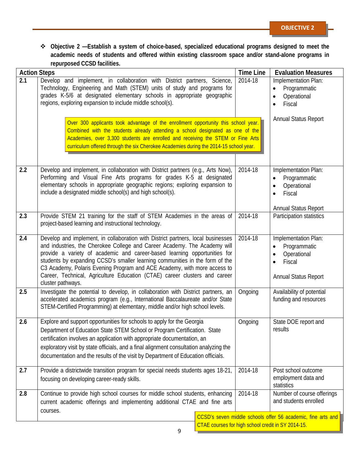٠

<u> Andreas Andreas Andreas Andreas Andreas Andreas Andreas Andreas Andreas Andreas Andreas Andreas Andreas Andr</u>

 **Objective 2 —Establish a system of choice-based, specialized educational programs designed to meet the academic needs of students and offered within existing classroom space and/or stand-alone programs in repurposed CCSD facilities.**

| <b>Action Steps</b> | <b>TOPULPUSUA OUJD TAGMINGS.</b>                                                                                                                                                                                                                                                                                                                                                                                                                                                                          | <b>Time Line</b> | <b>Evaluation Measures</b>                                                                                             |
|---------------------|-----------------------------------------------------------------------------------------------------------------------------------------------------------------------------------------------------------------------------------------------------------------------------------------------------------------------------------------------------------------------------------------------------------------------------------------------------------------------------------------------------------|------------------|------------------------------------------------------------------------------------------------------------------------|
| $\overline{2.1}$    | Develop and implement, in collaboration with District partners, Science,<br>Technology, Engineering and Math (STEM) units of study and programs for<br>grades K-5/6 at designated elementary schools in appropriate geographic<br>regions, exploring expansion to include middle school(s).                                                                                                                                                                                                               | 2014-18          | Implementation Plan:<br>Programmatic<br>Operational<br>Fiscal                                                          |
|                     | Over 300 applicants took advantage of the enrollment opportunity this school year.<br>Combined with the students already attending a school designated as one of the<br>Academies, over 3,300 students are enrolled and receiving the STEM or Fine Arts<br>curriculum offered through the six Cherokee Academies during the 2014-15 school year.                                                                                                                                                          |                  | <b>Annual Status Report</b>                                                                                            |
| 2.2                 | Develop and implement, in collaboration with District partners (e.g., Arts Now),<br>Performing and Visual Fine Arts programs for grades K-5 at designated<br>elementary schools in appropriate geographic regions; exploring expansion to<br>include a designated middle school(s) and high school(s).                                                                                                                                                                                                    | 2014-18          | Implementation Plan:<br>Programmatic<br>Operational<br>$\bullet$<br>Fiscal<br>$\bullet$<br><b>Annual Status Report</b> |
| 2.3                 | Provide STEM 21 training for the staff of STEM Academies in the areas of<br>project-based learning and instructional technology.                                                                                                                                                                                                                                                                                                                                                                          | 2014-18          | Participation statistics                                                                                               |
| 2.4                 | Develop and implement, in collaboration with District partners, local businesses<br>and industries, the Cherokee College and Career Academy. The Academy will<br>provide a variety of academic and career-based learning opportunities for<br>students by expanding CCSD's smaller learning communities in the form of the<br>C3 Academy, Polaris Evening Program and ACE Academy, with more access to<br>Career, Technical, Agriculture Education (CTAE) career clusters and career<br>cluster pathways. | 2014-18          | Implementation Plan:<br>Programmatic<br>$\bullet$<br>Operational<br>Fiscal<br><b>Annual Status Report</b>              |
| 2.5                 | Investigate the potential to develop, in collaboration with District partners, an<br>accelerated academics program (e.g., International Baccalaureate and/or State<br>STEM-Certified Programming) at elementary, middle and/or high school levels.                                                                                                                                                                                                                                                        | Ongoing          | Availability of potential<br>funding and resources                                                                     |
| 2.6                 | Explore and support opportunities for schools to apply for the Georgia<br>Department of Education State STEM School or Program Certification. State<br>certification involves an application with appropriate documentation, an<br>exploratory visit by state officials, and a final alignment consultation analyzing the<br>documentation and the results of the visit by Department of Education officials.                                                                                             | Ongoing          | State DOE report and<br>results                                                                                        |
| 2.7                 | Provide a districtwide transition program for special needs students ages 18-21,<br>focusing on developing career-ready skills.                                                                                                                                                                                                                                                                                                                                                                           | 2014-18          | Post school outcome<br>employment data and<br>statistics                                                               |
| 2.8                 | Continue to provide high school courses for middle school students, enhancing<br>current academic offerings and implementing additional CTAE and fine arts<br>courses.                                                                                                                                                                                                                                                                                                                                    | 2014-18          | Number of course offerings<br>and students enrolled                                                                    |
|                     |                                                                                                                                                                                                                                                                                                                                                                                                                                                                                                           |                  | CCSD's seven middle schools offer 56 academic, fine arts and<br>CTAE courses for high school credit in SY 2014-15.     |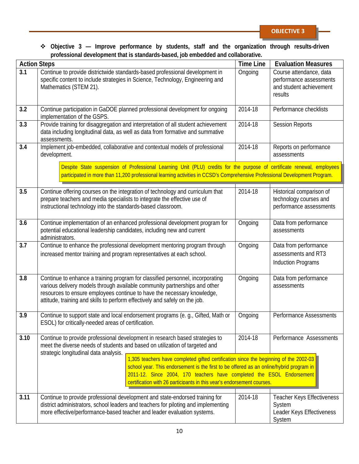#### **Objective 3 — Improve performance by students, staff and the organization through results-driven professional development that is standards-based, job embedded and collaborative.**

|      | professional development that is standards based, job chilodaed and conaborative.<br><b>Action Steps</b>                                                                                                                                                                                                                            | <b>Time Line</b> | <b>Evaluation Measures</b>                                                               |
|------|-------------------------------------------------------------------------------------------------------------------------------------------------------------------------------------------------------------------------------------------------------------------------------------------------------------------------------------|------------------|------------------------------------------------------------------------------------------|
| 3.1  | Continue to provide districtwide standards-based professional development in<br>specific content to include strategies in Science, Technology, Engineering and<br>Mathematics (STEM 21).                                                                                                                                            | Ongoing          | Course attendance, data<br>performance assessments<br>and student achievement<br>results |
| 3.2  | Continue participation in GaDOE planned professional development for ongoing<br>implementation of the GSPS.                                                                                                                                                                                                                         | 2014-18          | Performance checklists                                                                   |
| 3.3  | Provide training for disaggregation and interpretation of all student achievement<br>data including longitudinal data, as well as data from formative and summative<br>assessments.                                                                                                                                                 | 2014-18          | <b>Session Reports</b>                                                                   |
| 3.4  | Implement job-embedded, collaborative and contextual models of professional<br>development.                                                                                                                                                                                                                                         | 2014-18          | Reports on performance<br>assessments                                                    |
|      | Despite State suspension of Professional Learning Unit (PLU) credits for the purpose of certificate renewal, employees<br>participated in more than 11,200 professional learning activities in CCSD's Comprehensive Professional Development Program.                                                                               |                  |                                                                                          |
| 3.5  | Continue offering courses on the integration of technology and curriculum that<br>prepare teachers and media specialists to integrate the effective use of<br>instructional technology into the standards-based classroom.                                                                                                          | 2014-18          | Historical comparison of<br>technology courses and<br>performance assessments            |
| 3.6  | Continue implementation of an enhanced professional development program for<br>potential educational leadership candidates, including new and current<br>administrators.                                                                                                                                                            | Ongoing          | Data from performance<br>assessments                                                     |
| 3.7  | Continue to enhance the professional development mentoring program through<br>increased mentor training and program representatives at each school.                                                                                                                                                                                 | Ongoing          | Data from performance<br>assessments and RT3<br><b>Induction Programs</b>                |
| 3.8  | Continue to enhance a training program for classified personnel, incorporating<br>various delivery models through available community partnerships and other<br>resources to ensure employees continue to have the necessary knowledge,<br>attitude, training and skills to perform effectively and safely on the job.              | Ongoing          | Data from performance<br>assessments                                                     |
| 3.9  | Continue to support state and local endorsement programs (e. g., Gifted, Math or<br>ESOL) for critically-needed areas of certification.                                                                                                                                                                                             | Ongoing          | <b>Performance Assessments</b>                                                           |
| 3.10 | Continue to provide professional development in research based strategies to<br>meet the diverse needs of students and based on utilization of targeted and<br>strategic longitudinal data analysis.                                                                                                                                | 2014-18          | Performance Assessments                                                                  |
|      | 1,305 teachers have completed gifted certification since the beginning of the 2002-03<br>school year. This endorsement is the first to be offered as an online/hybrid program in<br>2011-12. Since 2004, 170 teachers have completed the ESOL Endorsement<br>certification with 26 participants in this year's endorsement courses. |                  |                                                                                          |
| 3.11 | Continue to provide professional development and state-endorsed training for<br>district administrators, school leaders and teachers for piloting and implementing<br>more effective/performance-based teacher and leader evaluation systems.                                                                                       | 2014-18          | Teacher Keys Effectiveness<br>System<br>Leader Keys Effectiveness<br>System              |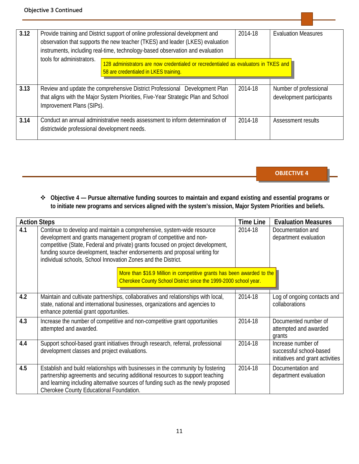| 3.12 | Provide training and District support of online professional development and<br>observation that supports the new teacher (TKES) and leader (LKES) evaluation<br>instruments, including real-time, technology-based observation and evaluation<br>tools for administrators.<br>128 administrators are now credentialed or recredentialed as evaluators in TKES and | 2014-18 | <b>Evaluation Measures</b>                         |
|------|--------------------------------------------------------------------------------------------------------------------------------------------------------------------------------------------------------------------------------------------------------------------------------------------------------------------------------------------------------------------|---------|----------------------------------------------------|
|      | 58 are credentialed in LKES training.                                                                                                                                                                                                                                                                                                                              |         |                                                    |
|      |                                                                                                                                                                                                                                                                                                                                                                    |         |                                                    |
| 3.13 | Review and update the comprehensive District Professional Development Plan<br>that aligns with the Major System Priorities, Five-Year Strategic Plan and School<br>Improvement Plans (SIPs).                                                                                                                                                                       | 2014-18 | Number of professional<br>development participants |
| 3.14 | Conduct an annual administrative needs assessment to inform determination of<br>districtwide professional development needs.                                                                                                                                                                                                                                       | 2014-18 | Assessment results                                 |

#### **Objective 4 — Pursue alternative funding sources to maintain and expand existing and essential programs or to initiate new programs and services aligned with the system's mission, Major System Priorities and beliefs.**

| <b>Action Steps</b> |                                                                                                                                                                                                                                                                                                                                                                              | <b>Time Line</b> | <b>Evaluation Measures</b>                                                        |
|---------------------|------------------------------------------------------------------------------------------------------------------------------------------------------------------------------------------------------------------------------------------------------------------------------------------------------------------------------------------------------------------------------|------------------|-----------------------------------------------------------------------------------|
| 4.1                 | Continue to develop and maintain a comprehensive, system-wide resource<br>development and grants management program of competitive and non-<br>competitive (State, Federal and private) grants focused on project development,<br>funding source development, teacher endorsements and proposal writing for<br>individual schools, School Innovation Zones and the District. | 2014-18          | Documentation and<br>department evaluation                                        |
|                     | More than \$16.9 Million in competitive grants has been awarded to the<br>Cherokee County School District since the 1999-2000 school year.                                                                                                                                                                                                                                   |                  |                                                                                   |
| 4.2                 | Maintain and cultivate partnerships, collaboratives and relationships with local,<br>state, national and international businesses, organizations and agencies to<br>enhance potential grant opportunities.                                                                                                                                                                   | 2014-18          | Log of ongoing contacts and<br>collaborations                                     |
| 4.3                 | Increase the number of competitive and non-competitive grant opportunities<br>attempted and awarded.                                                                                                                                                                                                                                                                         | 2014-18          | Documented number of<br>attempted and awarded<br>grants                           |
| 4.4                 | Support school-based grant initiatives through research, referral, professional<br>development classes and project evaluations.                                                                                                                                                                                                                                              | 2014-18          | Increase number of<br>successful school-based<br>initiatives and grant activities |
| 4.5                 | Establish and build relationships with businesses in the community by fostering<br>partnership agreements and securing additional resources to support teaching<br>and learning including alternative sources of funding such as the newly proposed<br>Cherokee County Educational Foundation.                                                                               | 2014-18          | Documentation and<br>department evaluation                                        |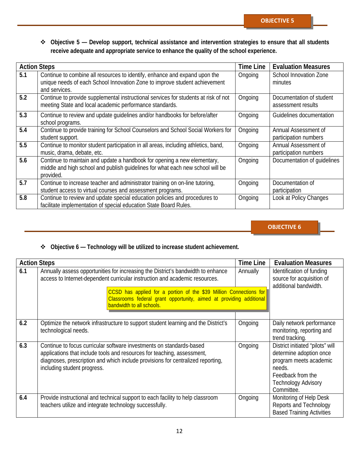**Objective 5 — Develop support, technical assistance and intervention strategies to ensure that all students receive adequate and appropriate service to enhance the quality of the school experience.**

| <b>Action Steps</b> |                                                                                                                                                                           | <b>Time Line</b> | <b>Evaluation Measures</b>                     |
|---------------------|---------------------------------------------------------------------------------------------------------------------------------------------------------------------------|------------------|------------------------------------------------|
| 5.1                 | Continue to combine all resources to identify, enhance and expand upon the<br>unique needs of each School Innovation Zone to improve student achievement<br>and services. | Ongoing          | School Innovation Zone<br>minutes              |
| 5.2                 | Continue to provide supplemental instructional services for students at risk of not<br>meeting State and local academic performance standards.                            | Ongoing          | Documentation of student<br>assessment results |
| 5.3                 | Continue to review and update guidelines and/or handbooks for before/after<br>school programs.                                                                            | Ongoing          | Guidelines documentation                       |
| 5.4                 | Continue to provide training for School Counselors and School Social Workers for<br>student support.                                                                      | Ongoing          | Annual Assessment of<br>participation numbers  |
| 5.5                 | Continue to monitor student participation in all areas, including athletics, band,<br>music, drama, debate, etc.                                                          | Ongoing          | Annual Assessment of<br>participation numbers  |
| 5.6                 | Continue to maintain and update a handbook for opening a new elementary,<br>middle and high school and publish quidelines for what each new school will be<br>provided.   | Ongoing          | Documentation of quidelines                    |
| 5.7                 | Continue to increase teacher and administrator training on on-line tutoring,<br>student access to virtual courses and assessment programs.                                | Ongoing          | Documentation of<br>participation              |
| 5.8                 | Continue to review and update special education policies and procedures to<br>facilitate implementation of special education State Board Rules.                           | Ongoing          | Look at Policy Changes                         |

**OBJECTIVE 6**

#### **Objective 6 — Technology will be utilized to increase student achievement.**

| <b>Action Steps</b> |                                                                                                                                                                                                                                                                   | <b>Time Line</b> | <b>Evaluation Measures</b>                                                                                                                                       |
|---------------------|-------------------------------------------------------------------------------------------------------------------------------------------------------------------------------------------------------------------------------------------------------------------|------------------|------------------------------------------------------------------------------------------------------------------------------------------------------------------|
| 6.1                 | Annually assess opportunities for increasing the District's bandwidth to enhance<br>access to Internet-dependent curricular instruction and academic resources.                                                                                                   | Annually         | Identification of funding<br>source for acquisition of<br>additional bandwidth.                                                                                  |
|                     | CCSD has applied for a portion of the \$39 Million Connections for<br>Classrooms federal grant opportunity, aimed at providing additional<br>bandwidth to all schools.                                                                                            |                  |                                                                                                                                                                  |
| 6.2                 | Optimize the network infrastructure to support student learning and the District's<br>technological needs.                                                                                                                                                        | Ongoing          | Daily network performance<br>monitoring, reporting and<br>trend tracking.                                                                                        |
| 6.3                 | Continue to focus curricular software investments on standards-based<br>applications that include tools and resources for teaching, assessment,<br>diagnoses, prescription and which include provisions for centralized reporting,<br>including student progress. | Ongoing          | District initiated "pilots" will<br>determine adoption once<br>program meets academic<br>needs.<br>Feedback from the<br><b>Technology Advisory</b><br>Committee. |
| 6.4                 | Provide instructional and technical support to each facility to help classroom<br>teachers utilize and integrate technology successfully.                                                                                                                         | Ongoing          | Monitoring of Help Desk<br>Reports and Technology<br><b>Based Training Activities</b>                                                                            |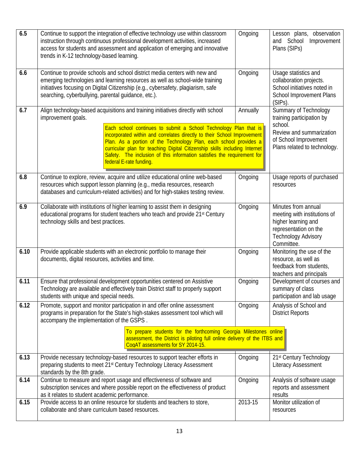| 6.5  | Continue to support the integration of effective technology use within classroom<br>instruction through continuous professional development activities, increased<br>access for students and assessment and application of emerging and innovative<br>trends in K-12 technology-based learning.                                                                                                                                                                                                                 | Ongoing  | Lesson plans, observation<br>and School<br>Improvement<br>Plans (SIPs)                                                                             |
|------|-----------------------------------------------------------------------------------------------------------------------------------------------------------------------------------------------------------------------------------------------------------------------------------------------------------------------------------------------------------------------------------------------------------------------------------------------------------------------------------------------------------------|----------|----------------------------------------------------------------------------------------------------------------------------------------------------|
| 6.6  | Continue to provide schools and school district media centers with new and<br>emerging technologies and learning resources as well as school-wide training<br>initiatives focusing on Digital Citizenship (e.g., cybersafety, plagiarism, safe<br>searching, cyberbullying, parental guidance, etc.).                                                                                                                                                                                                           | Ongoing  | Usage statistics and<br>collaboration projects.<br>School initiatives noted in<br><b>School Improvement Plans</b><br>(SIPs).                       |
| 6.7  | Align technology-based acquisitions and training initiatives directly with school<br>improvement goals.<br>Each school continues to submit a School Technology Plan that is<br>incorporated within and correlates directly to their School Improvement<br>Plan. As a portion of the Technology Plan, each school provides a<br>curricular plan for teaching Digital Citizenship skills including Internet<br>Safety. The inclusion of this information satisfies the requirement for<br>federal E-rate funding. | Annually | Summary of Technology<br>training participation by<br>school.<br>Review and summarization<br>of School Improvement<br>Plans related to technology. |
| 6.8  | Continue to explore, review, acquire and utilize educational online web-based<br>resources which support lesson planning (e.g., media resources, research<br>databases and curriculum-related activities) and for high-stakes testing review.                                                                                                                                                                                                                                                                   | Ongoing  | Usage reports of purchased<br>resources                                                                                                            |
| 6.9  | Collaborate with institutions of higher learning to assist them in designing<br>educational programs for student teachers who teach and provide 21 <sup>st</sup> Century<br>technology skills and best practices.                                                                                                                                                                                                                                                                                               | Ongoing  | Minutes from annual<br>meeting with institutions of<br>higher learning and<br>representation on the<br><b>Technology Advisory</b><br>Committee.    |
| 6.10 | Provide applicable students with an electronic portfolio to manage their<br>documents, digital resources, activities and time.                                                                                                                                                                                                                                                                                                                                                                                  | Ongoing  | Monitoring the use of the<br>resource, as well as<br>feedback from students,<br>teachers and principals                                            |
| 6.11 | Ensure that professional development opportunities centered on Assistive<br>Technology are available and effectively train District staff to properly support<br>students with unique and special needs.                                                                                                                                                                                                                                                                                                        | Ongoing  | Development of courses and<br>summary of class<br>participation and lab usage                                                                      |
| 6.12 | Promote, support and monitor participation in and offer online assessment<br>programs in preparation for the State's high-stakes assessment tool which will<br>accompany the implementation of the GSPS.<br>To prepare students for the forthcoming Georgia Milestones online<br>assessment, the District is piloting full online delivery of the ITBS and                                                                                                                                                      | Ongoing  | Analysis of School and<br><b>District Reports</b>                                                                                                  |
|      | CoaAT assessments for SY 2014-15.                                                                                                                                                                                                                                                                                                                                                                                                                                                                               |          |                                                                                                                                                    |
| 6.13 | Provide necessary technology-based resources to support teacher efforts in<br>preparing students to meet 21 <sup>st</sup> Century Technology Literacy Assessment<br>standards by the 8th grade.                                                                                                                                                                                                                                                                                                                 | Ongoing  | 21st Century Technology<br><b>Literacy Assessment</b>                                                                                              |
| 6.14 | Continue to measure and report usage and effectiveness of software and<br>subscription services and where possible report on the effectiveness of product<br>as it relates to student academic performance.                                                                                                                                                                                                                                                                                                     | Ongoing  | Analysis of software usage<br>reports and assessment<br>results                                                                                    |
| 6.15 | Provide access to an online resource for students and teachers to store,<br>collaborate and share curriculum based resources.                                                                                                                                                                                                                                                                                                                                                                                   | 2013-15  | Monitor utilization of<br>resources                                                                                                                |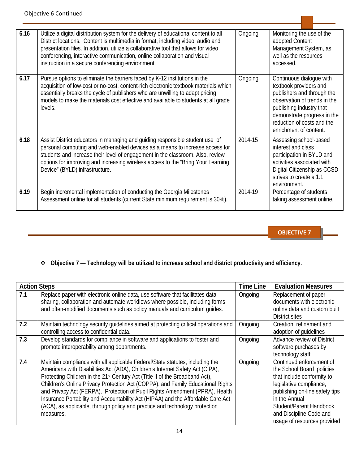| 6.16 | Utilize a digital distribution system for the delivery of educational content to all<br>District locations. Content is multimedia in format, including video, audio and<br>presentation files. In addition, utilize a collaborative tool that allows for video<br>conferencing, interactive communication, online collaboration and visual<br>instruction in a secure conferencing environment. | Ongoing | Monitoring the use of the<br>adopted Content<br>Management System, as<br>well as the resources<br>accessed.                                                                                                                         |
|------|-------------------------------------------------------------------------------------------------------------------------------------------------------------------------------------------------------------------------------------------------------------------------------------------------------------------------------------------------------------------------------------------------|---------|-------------------------------------------------------------------------------------------------------------------------------------------------------------------------------------------------------------------------------------|
| 6.17 | Pursue options to eliminate the barriers faced by K-12 institutions in the<br>acquisition of low-cost or no-cost, content-rich electronic textbook materials which<br>essentially breaks the cycle of publishers who are unwilling to adapt pricing<br>models to make the materials cost effective and available to students at all grade<br>levels.                                            | Ongoing | Continuous dialogue with<br>textbook providers and<br>publishers and through the<br>observation of trends in the<br>publishing industry that<br>demonstrate progress in the<br>reduction of costs and the<br>enrichment of content. |
| 6.18 | Assist District educators in managing and guiding responsible student use of<br>personal computing and web-enabled devices as a means to increase access for<br>students and increase their level of engagement in the classroom. Also, review<br>options for improving and increasing wireless access to the "Bring Your Learning<br>Device" (BYLD) infrastructure.                            | 2014-15 | Assessing school-based<br>interest and class<br>participation in BYLD and<br>activities associated with<br>Digital Citizenship as CCSD<br>strives to create a 1:1<br>environment.                                                   |
| 6.19 | Begin incremental implementation of conducting the Georgia Milestones<br>Assessment online for all students (current State minimum requirement is 30%).                                                                                                                                                                                                                                         | 2014-19 | Percentage of students<br>taking assessment online.                                                                                                                                                                                 |

#### **Objective 7 — Technology will be utilized to increase school and district productivity and efficiency.**

| <b>Action Steps</b> |                                                                                                                                                                                                                                                                                                                                                                                                                                                                                                                                                                                                               | <b>Time Line</b> | <b>Evaluation Measures</b>                                                                                                                                                                                                                             |
|---------------------|---------------------------------------------------------------------------------------------------------------------------------------------------------------------------------------------------------------------------------------------------------------------------------------------------------------------------------------------------------------------------------------------------------------------------------------------------------------------------------------------------------------------------------------------------------------------------------------------------------------|------------------|--------------------------------------------------------------------------------------------------------------------------------------------------------------------------------------------------------------------------------------------------------|
| 7.1                 | Replace paper with electronic online data, use software that facilitates data<br>sharing, collaboration and automate workflows where possible, including forms<br>and often-modified documents such as policy manuals and curriculum guides.                                                                                                                                                                                                                                                                                                                                                                  | Ongoing          | Replacement of paper<br>documents with electronic<br>online data and custom built<br>District sites                                                                                                                                                    |
| 7.2                 | Maintain technology security guidelines aimed at protecting critical operations and<br>controlling access to confidential data.                                                                                                                                                                                                                                                                                                                                                                                                                                                                               | Ongoing          | Creation, refinement and<br>adoption of quidelines                                                                                                                                                                                                     |
| 7.3                 | Develop standards for compliance in software and applications to foster and<br>promote interoperability among departments.                                                                                                                                                                                                                                                                                                                                                                                                                                                                                    | Ongoing          | Advance review of District<br>software purchases by<br>technology staff.                                                                                                                                                                               |
| 7.4                 | Maintain compliance with all applicable Federal/State statutes, including the<br>Americans with Disabilities Act (ADA), Children's Internet Safety Act (CIPA),<br>Protecting Children in the 21 <sup>st</sup> Century Act (Title II of the Broadband Act),<br>Children's Online Privacy Protection Act (COPPA), and Family Educational Rights<br>and Privacy Act (FERPA), Protection of Pupil Rights Amendment (PPRA), Health<br>Insurance Portability and Accountability Act (HIPAA) and the Affordable Care Act<br>(ACA), as applicable, through policy and practice and technology protection<br>measures. | Ongoing          | Continued enforcement of<br>the School Board policies<br>that include conformity to<br>legislative compliance,<br>publishing on-line safety tips<br>in the Annual<br>Student/Parent Handbook<br>and Discipline Code and<br>usage of resources provided |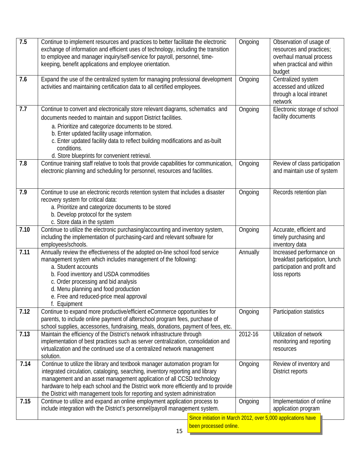| 7.5  | Continue to implement resources and practices to better facilitate the electronic<br>exchange of information and efficient uses of technology, including the transition<br>to employee and manager inquiry/self-service for payroll, personnel, time-<br>keeping, benefit applications and employee orientation.                                                                                           | Ongoing  | Observation of usage of<br>resources and practices;<br>overhaul manual process<br>when practical and within<br>budget |  |
|------|------------------------------------------------------------------------------------------------------------------------------------------------------------------------------------------------------------------------------------------------------------------------------------------------------------------------------------------------------------------------------------------------------------|----------|-----------------------------------------------------------------------------------------------------------------------|--|
| 7.6  | Expand the use of the centralized system for managing professional development<br>activities and maintaining certification data to all certified employees.                                                                                                                                                                                                                                                | Ongoing  | Centralized system<br>accessed and utilized<br>through a local intranet<br>network                                    |  |
| 7.7  | Continue to convert and electronically store relevant diagrams, schematics and<br>documents needed to maintain and support District facilities.<br>a. Prioritize and categorize documents to be stored.<br>b. Enter updated facility usage information.<br>c. Enter updated facility data to reflect building modifications and as-built<br>conditions.<br>d. Store blueprints for convenient retrieval.   | Ongoing  | Electronic storage of school<br>facility documents                                                                    |  |
| 7.8  | Continue training staff relative to tools that provide capabilities for communication,<br>electronic planning and scheduling for personnel, resources and facilities.                                                                                                                                                                                                                                      | Ongoing  | Review of class participation<br>and maintain use of system                                                           |  |
| 7.9  | Continue to use an electronic records retention system that includes a disaster<br>recovery system for critical data:<br>a. Prioritize and categorize documents to be stored<br>b. Develop protocol for the system<br>c. Store data in the system                                                                                                                                                          | Ongoing  | Records retention plan                                                                                                |  |
| 7.10 | Continue to utilize the electronic purchasing/accounting and inventory system,<br>including the implementation of purchasing-card and relevant software for<br>employees/schools.                                                                                                                                                                                                                          | Ongoing  | Accurate, efficient and<br>timely purchasing and<br>inventory data                                                    |  |
| 7.11 | Annually review the effectiveness of the adopted on-line school food service<br>management system which includes management of the following:<br>a. Student accounts<br>b. Food inventory and USDA commodities<br>c. Order processing and bid analysis<br>d. Menu planning and food production<br>e. Free and reduced-price meal approval<br>f. Equipment                                                  | Annually | Increased performance on<br>breakfast participation, lunch<br>participation and profit and<br>loss reports            |  |
| 7.12 | Continue to expand more productive/efficient eCommerce opportunities for<br>parents, to include online payment of afterschool program fees, purchase of<br>school supplies, accessories, fundraising, meals, donations, payment of fees, etc.                                                                                                                                                              | Ongoing  | Participation statistics                                                                                              |  |
| 7.13 | Maintain the efficiency of the District's network infrastructure through<br>implementation of best practices such as server centralization, consolidation and<br>virtualization and the continued use of a centralized network management<br>solution.                                                                                                                                                     | 2012-16  | Utilization of network<br>monitoring and reporting<br>resources                                                       |  |
| 7.14 | Continue to utilize the library and textbook manager automation program for<br>integrated circulation, cataloging, searching, inventory reporting and library<br>management and an asset management application of all CCSD technology<br>hardware to help each school and the District work more efficiently and to provide<br>the District with management tools for reporting and system administration | Ongoing  | Review of inventory and<br>District reports                                                                           |  |
| 7.15 | Continue to utilize and expand an online employment application process to<br>include integration with the District's personnel/payroll management system.                                                                                                                                                                                                                                                 | Ongoing  | Implementation of online<br>application program                                                                       |  |
|      | Since initiation in March 2012, over 5,000 applications have<br>been processed online.<br>15                                                                                                                                                                                                                                                                                                               |          |                                                                                                                       |  |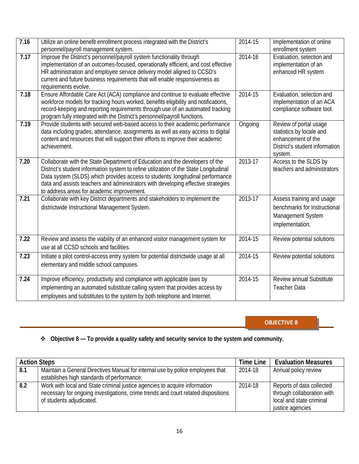| 7.16              | Utilize an online benefit enrollment process integrated with the District's<br>personnel/payroll management system.                                                                                                                                                                                                                                                                        | 2014-15 | Implementation of online<br>enrollment system                                                                         |
|-------------------|--------------------------------------------------------------------------------------------------------------------------------------------------------------------------------------------------------------------------------------------------------------------------------------------------------------------------------------------------------------------------------------------|---------|-----------------------------------------------------------------------------------------------------------------------|
| 7.17              | Improve the District's personnel/payroll system functionality through<br>implementation of an outcomes-focused, operationally efficient, and cost effective<br>HR administration and employee service delivery model aligned to CCSD's<br>current and future business requirements that will enable responsiveness as<br>requirements evolve.                                              | 2014-16 | Evaluation, selection and<br>implementation of an<br>enhanced HR system                                               |
| 7.18              | Ensure Affordable Care Act (ACA) compliance and continue to evaluate effective<br>workforce models for tracking hours worked, benefits eligibility and notifications,<br>record-keeping and reporting requirements through use of an automated tracking<br>program fully integrated with the District's personnel/payroll functions.                                                       | 2014-15 | Evaluation, selection and<br>implementation of an ACA<br>compliance software tool.                                    |
| 7.19              | Provide students with secured web-based access to their academic performance<br>data including grades, attendance, assignments as well as easy access to digital<br>content and resources that will support their efforts to improve their academic<br>achievement.                                                                                                                        | Ongoing | Review of portal usage<br>statistics by locale and<br>enhancement of the<br>District's student information<br>system. |
| 7.20              | Collaborate with the State Department of Education and the developers of the<br>District's student information system to refine utilization of the State Longitudinal<br>Data system (SLDS) which provides access to students' longitudinal performance<br>data and assists teachers and administrators with developing effective strategies<br>to address areas for academic improvement. | 2013-17 | Access to the SLDS by<br>teachers and administrators                                                                  |
| 7.21              | Collaborate with key District departments and stakeholders to implement the<br>districtwide Instructional Management System.                                                                                                                                                                                                                                                               | 2013-17 | Assess training and usage<br>benchmarks for Instructional<br>Management System<br>implementation.                     |
| $\overline{7.22}$ | Review and assess the viability of an enhanced visitor management system for<br>use at all CCSD schools and facilities.                                                                                                                                                                                                                                                                    | 2014-15 | Review potential solutions                                                                                            |
| 7.23              | Initiate a pilot control-access entry system for potential districtwide usage at all<br>elementary and middle school campuses.                                                                                                                                                                                                                                                             | 2014-15 | Review potential solutions                                                                                            |
| 7.24              | Improve efficiency, productivity and compliance with applicable laws by<br>implementing an automated substitute calling system that provides access by<br>employees and substitutes to the system by both telephone and Internet.                                                                                                                                                          | 2014-15 | Review annual Substitute<br><b>Teacher Data</b>                                                                       |

#### **Objective 8 — To provide a quality safety and security service to the system and community.**

| <b>Action Steps</b> |                                                                                                                                                                                             | Time Line | <b>Evaluation Measures</b>                                                                              |
|---------------------|---------------------------------------------------------------------------------------------------------------------------------------------------------------------------------------------|-----------|---------------------------------------------------------------------------------------------------------|
| 8.1                 | Maintain a General Directives Manual for internal use by police employees that                                                                                                              | 2014-18   | Annual policy review                                                                                    |
|                     | establishes high standards of performance.                                                                                                                                                  |           |                                                                                                         |
| 8.2                 | Work with local and State criminal justice agencies to acquire information<br>necessary for ongoing investigations, crime trends and court related dispositions<br>of students adjudicated. | 2014-18   | Reports of data collected<br>through collaboration with<br>local and state criminal<br>justice agencies |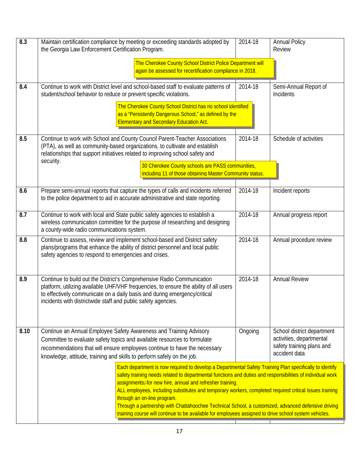| 8.3  | Maintain certification compliance by meeting or exceeding standards adopted by<br>the Georgia Law Enforcement Certification Program.                                                                                                                                                                                                                                                                                                                                                                                                                                                                                                        | 2014-18 | <b>Annual Policy</b><br>Review                                                                       |
|------|---------------------------------------------------------------------------------------------------------------------------------------------------------------------------------------------------------------------------------------------------------------------------------------------------------------------------------------------------------------------------------------------------------------------------------------------------------------------------------------------------------------------------------------------------------------------------------------------------------------------------------------------|---------|------------------------------------------------------------------------------------------------------|
|      | The Cherokee County School District Police Department will<br>again be assessed for recertification compliance in 2018.                                                                                                                                                                                                                                                                                                                                                                                                                                                                                                                     |         |                                                                                                      |
| 8.4  | Continue to work with District level and school-based staff to evaluate patterns of<br>student/school behavior to reduce or prevent specific violations.                                                                                                                                                                                                                                                                                                                                                                                                                                                                                    | 2014-18 | Semi-Annual Report of<br><b>Incidents</b>                                                            |
|      | The Cherokee County School District has no school identified<br>as a "Persistently Dangerous School," as defined by the<br><b>Elementary and Secondary Education Act.</b>                                                                                                                                                                                                                                                                                                                                                                                                                                                                   |         |                                                                                                      |
| 8.5  | Continue to work with School and County Council Parent-Teacher Associations<br>(PTA), as well as community-based organizations, to cultivate and establish<br>relationships that support initiatives related to improving school safety and                                                                                                                                                                                                                                                                                                                                                                                                 | 2014-18 | Schedule of activities                                                                               |
|      | security.<br>30 Cherokee County schools are PASS communities,<br>including 11 of those obtaining Master Community status.                                                                                                                                                                                                                                                                                                                                                                                                                                                                                                                   |         |                                                                                                      |
| 8.6  | Prepare semi-annual reports that capture the types of calls and incidents referred<br>to the police department to aid in accurate administrative and state reporting.                                                                                                                                                                                                                                                                                                                                                                                                                                                                       | 2014-18 | Incident reports                                                                                     |
| 8.7  | Continue to work with local and State public safety agencies to establish a<br>wireless communication committee for the purpose of researching and designing<br>a county-wide radio communications system.                                                                                                                                                                                                                                                                                                                                                                                                                                  | 2014-18 | Annual progress report                                                                               |
| 8.8  | Continue to assess, review and implement school-based and District safety<br>plans/programs that enhance the ability of district personnel and local public<br>safety agencies to respond to emergencies and crises.                                                                                                                                                                                                                                                                                                                                                                                                                        | 2014-18 | Annual procedure review                                                                              |
| 8.9  | Continue to build out the District's Comprehensive Radio Communication<br>platform, utilizing available UHF/VHF frequencies, to ensure the ability of all users<br>to effectively communicate on a daily basis and during emergency/critical<br>incidents with districtwide staff and public safety agencies.                                                                                                                                                                                                                                                                                                                               | 2014-18 | <b>Annual Review</b>                                                                                 |
| 8.10 | Continue an Annual Employee Safety Awareness and Training Advisory<br>Committee to evaluate safety topics and available resources to formulate<br>recommendations that will ensure employees continue to have the necessary<br>knowledge, attitude, training and skills to perform safely on the job.                                                                                                                                                                                                                                                                                                                                       | Ongoing | School district department<br>activities, departmental<br>safety training plans and<br>accident data |
|      | Each department is now required to develop a Departmental Safety Training Plan specifically to identify<br>safety training needs related to departmental functions and duties and responsibilities of individual work<br>assignments-for new hire, annual and refresher training.<br>ALL employees, including substitutes and temporary workers, completed required critical issues training<br>through an on-line program.<br>Through a partnership with Chattahoochee Technical School, a customized, advanced defensive driving<br>training course will continue to be available for employees assigned to drive school system vehicles. |         |                                                                                                      |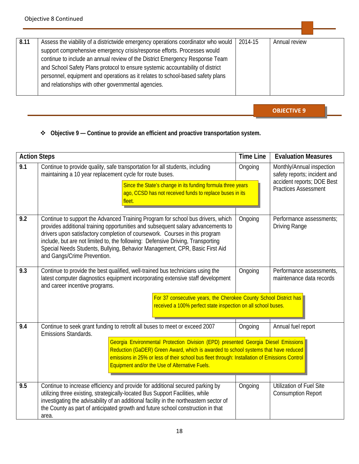| 8.11 | Assess the viability of a districtwide emergency operations coordinator who would | 2014-15 | Annual review |
|------|-----------------------------------------------------------------------------------|---------|---------------|
|      | support comprehensive emergency crisis/response efforts. Processes would          |         |               |
|      | continue to include an annual review of the District Emergency Response Team      |         |               |
|      | and School Safety Plans protocol to ensure systemic accountability of district    |         |               |
|      | personnel, equipment and operations as it relates to school-based safety plans    |         |               |
|      | and relationships with other governmental agencies.                               |         |               |
|      |                                                                                   |         |               |

#### **Objective 9 — Continue to provide an efficient and proactive transportation system.**

| <b>Action Steps</b> |                                                                                                                                                                                                                                                                                                                                                                                                                                                     | <b>Time Line</b> | <b>Evaluation Measures</b>                                                              |
|---------------------|-----------------------------------------------------------------------------------------------------------------------------------------------------------------------------------------------------------------------------------------------------------------------------------------------------------------------------------------------------------------------------------------------------------------------------------------------------|------------------|-----------------------------------------------------------------------------------------|
| 9.1                 | Continue to provide quality, safe transportation for all students, including<br>maintaining a 10 year replacement cycle for route buses.                                                                                                                                                                                                                                                                                                            | Ongoing          | Monthly/Annual inspection<br>safety reports; incident and<br>accident reports; DOE Best |
|                     | Since the State's change in its funding formula three years<br>ago, CCSD has not received funds to replace buses in its<br>fleet.                                                                                                                                                                                                                                                                                                                   |                  | <b>Practices Assessment</b>                                                             |
| 9.2                 | Continue to support the Advanced Training Program for school bus drivers, which<br>provides additional training opportunities and subsequent salary advancements to<br>drivers upon satisfactory completion of coursework. Courses in this program<br>include, but are not limited to, the following: Defensive Driving, Transporting<br>Special Needs Students, Bullying, Behavior Management, CPR, Basic First Aid<br>and Gangs/Crime Prevention. | Ongoing          | Performance assessments;<br><b>Driving Range</b>                                        |
| 9.3                 | Continue to provide the best qualified, well-trained bus technicians using the<br>latest computer diagnostics equipment incorporating extensive staff development<br>and career incentive programs.                                                                                                                                                                                                                                                 | Ongoing          | Performance assessments,<br>maintenance data records                                    |
|                     | For 37 consecutive years, the Cherokee County School District has<br>received a 100% perfect state inspection on all school buses.                                                                                                                                                                                                                                                                                                                  |                  |                                                                                         |
| 9.4                 | Continue to seek grant funding to retrofit all buses to meet or exceed 2007<br>Emissions Standards.                                                                                                                                                                                                                                                                                                                                                 | Ongoing          | Annual fuel report                                                                      |
|                     | Georgia Environmental Protection Division (EPD) presented Georgia Diesel Emissions<br>Reduction (GaDER) Green Award, which is awarded to school systems that have reduced<br>emissions in 25% or less of their school bus fleet through: Installation of Emissions Control<br>Equipment and/or the Use of Alternative Fuels.                                                                                                                        |                  |                                                                                         |
| 9.5                 | Continue to increase efficiency and provide for additional secured parking by<br>utilizing three existing, strategically-located Bus Support Facilities, while<br>investigating the advisability of an additional facility in the northeastern sector of<br>the County as part of anticipated growth and future school construction in that<br>area.                                                                                                | Ongoing          | <b>Utilization of Fuel Site</b><br><b>Consumption Report</b>                            |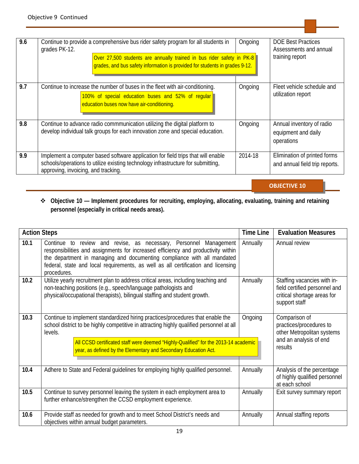| 9.6 | Continue to provide a comprehensive bus rider safety program for all students in<br>grades PK-12.<br>Over 27,500 students are annually trained in bus rider safety in PK-8<br>grades, and bus safety information is provided for students in grades 9-12. | Ongoing | <b>DOE Best Practices</b><br>Assessments and annual<br>training report |
|-----|-----------------------------------------------------------------------------------------------------------------------------------------------------------------------------------------------------------------------------------------------------------|---------|------------------------------------------------------------------------|
| 9.7 | Continue to increase the number of buses in the fleet with air-conditioning.<br>100% of special education buses and 52% of regular<br>education buses now have air-conditioning.                                                                          | Ongoing | Fleet vehicle schedule and<br>utilization report                       |
| 9.8 | Continue to advance radio commmunication utilizing the digital platform to<br>develop individual talk groups for each innovation zone and special education.                                                                                              | Ongoing | Annual inventory of radio<br>equipment and daily<br>operations         |
| 9.9 | Implement a computer based software application for field trips that will enable<br>schools/operations to utilize existing technology infrastructure for submitting,<br>approving, invoicing, and tracking.                                               | 2014-18 | Elimination of printed forms<br>and annual field trip reports.         |

#### **Objective 10 — Implement procedures for recruiting, employing, allocating, evaluating, training and retaining personnel (especially in critical needs areas).**

| <b>Action Steps</b> |                                                                                                                                                                                                                                                                                                                                                 | <b>Time Line</b> | <b>Evaluation Measures</b>                                                                                   |
|---------------------|-------------------------------------------------------------------------------------------------------------------------------------------------------------------------------------------------------------------------------------------------------------------------------------------------------------------------------------------------|------------------|--------------------------------------------------------------------------------------------------------------|
| 10.1                | to review and revise, as necessary, Personnel Management<br>Continue<br>responsibilities and assignments for increased efficiency and productivity within<br>the department in managing and documenting compliance with all mandated<br>federal, state and local requirements, as well as all certification and licensing<br>procedures.        | Annually         | Annual review                                                                                                |
| 10.2                | Utilize yearly recruitment plan to address critical areas, including teaching and<br>non-teaching positions (e.g., speech/language pathologists and<br>physical/occupational therapists), bilingual staffing and student growth.                                                                                                                | Annually         | Staffing vacancies with in-<br>field certified personnel and<br>critical shortage areas for<br>support staff |
| 10.3                | Continue to implement standardized hiring practices/procedures that enable the<br>school district to be highly competitive in attracting highly qualified personnel at all<br>levels.<br>All CCSD certificated staff were deemed "Highly-Qualified" for the 2013-14 academic<br>year, as defined by the Elementary and Secondary Education Act. | Ongoing          | Comparison of<br>practices/procedures to<br>other Metropolitan systems<br>and an analysis of end<br>results  |
| 10.4                | Adhere to State and Federal guidelines for employing highly qualified personnel.                                                                                                                                                                                                                                                                | Annually         | Analysis of the percentage<br>of highly qualified personnel<br>at each school                                |
| 10.5                | Continue to survey personnel leaving the system in each employment area to<br>further enhance/strengthen the CCSD employment experience.                                                                                                                                                                                                        | Annually         | Exit survey summary report                                                                                   |
| 10.6                | Provide staff as needed for growth and to meet School District's needs and<br>objectives within annual budget parameters.                                                                                                                                                                                                                       | Annually         | Annual staffing reports                                                                                      |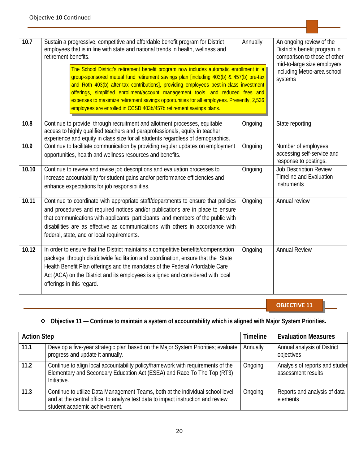| 10.7  | Sustain a progressive, competitive and affordable benefit program for District<br>employees that is in line with state and national trends in health, wellness and<br>retirement benefits.<br>The School District's retirement benefit program now includes automatic enrollment in a<br>group-sponsored mutual fund retirement savings plan [including 403(b) & 457(b) pre-tax<br>and Roth 403(b) after-tax contributions], providing employees best-in-class investment<br>offerings, simplified enrollment/account management tools, and reduced fees and<br>expenses to maximize retirement savings opportunities for all employees. Presently, 2,536<br>employees are enrolled in CCSD 403b/457b retirement savings plans. | Annually | An ongoing review of the<br>District's benefit program in<br>comparison to those of other<br>mid-to-large size employers<br>including Metro-area school<br>systems |
|-------|---------------------------------------------------------------------------------------------------------------------------------------------------------------------------------------------------------------------------------------------------------------------------------------------------------------------------------------------------------------------------------------------------------------------------------------------------------------------------------------------------------------------------------------------------------------------------------------------------------------------------------------------------------------------------------------------------------------------------------|----------|--------------------------------------------------------------------------------------------------------------------------------------------------------------------|
| 10.8  | Continue to provide, through recruitment and allotment processes, equitable<br>access to highly qualified teachers and paraprofessionals, equity in teacher<br>experience and equity in class size for all students regardless of demographics.                                                                                                                                                                                                                                                                                                                                                                                                                                                                                 | Ongoing  | State reporting                                                                                                                                                    |
| 10.9  | Continue to facilitate communication by providing regular updates on employment<br>opportunities, health and wellness resources and benefits.                                                                                                                                                                                                                                                                                                                                                                                                                                                                                                                                                                                   | Ongoing  | Number of employees<br>accessing self-service and<br>response to postings.                                                                                         |
| 10.10 | Continue to review and revise job descriptions and evaluation processes to<br>increase accountability for student gains and/or performance efficiencies and<br>enhance expectations for job responsibilities.                                                                                                                                                                                                                                                                                                                                                                                                                                                                                                                   | Ongoing  | <b>Job Description Review</b><br><b>Timeline and Evaluation</b><br>instruments                                                                                     |
| 10.11 | Continue to coordinate with appropriate staff/departments to ensure that policies<br>and procedures and required notices and/or publications are in place to ensure<br>that communications with applicants, participants, and members of the public with<br>disabilities are as effective as communications with others in accordance with<br>federal, state, and or local requirements.                                                                                                                                                                                                                                                                                                                                        | Ongoing  | Annual review                                                                                                                                                      |
| 10.12 | In order to ensure that the District maintains a competitive benefits/compensation<br>package, through districtwide facilitation and coordination, ensure that the State<br>Health Benefit Plan offerings and the mandates of the Federal Affordable Care<br>Act (ACA) on the District and its employees is aligned and considered with local<br>offerings in this regard.                                                                                                                                                                                                                                                                                                                                                      | Ongoing  | <b>Annual Review</b>                                                                                                                                               |

#### **Objective 11 — Continue to maintain a system of accountability which is aligned with Major System Priorities.**

| <b>Action Step</b> |                                                                                                                                                                                                     | <b>Timeline</b> | <b>Evaluation Measures</b>                           |
|--------------------|-----------------------------------------------------------------------------------------------------------------------------------------------------------------------------------------------------|-----------------|------------------------------------------------------|
| 11.1               | Develop a five-year strategic plan based on the Major System Priorities; evaluate<br>progress and update it annually.                                                                               | Annually        | Annual analysis of District<br>objectives            |
| 11.2               | Continue to align local accountability policy/framework with requirements of the<br>Elementary and Secondary Education Act (ESEA) and Race To The Top (RT3)<br>Initiative.                          | Ongoing         | Analysis of reports and studer<br>assessment results |
| 11.3               | Continue to utilize Data Management Teams, both at the individual school level<br>and at the central office, to analyze test data to impact instruction and review<br>student academic achievement. | Ongoing         | Reports and analysis of data<br>elements             |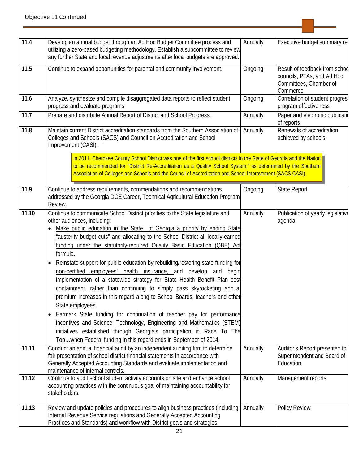| 11.4  | Develop an annual budget through an Ad Hoc Budget Committee process and<br>utilizing a zero-based budgeting methodology. Establish a subcommittee to review<br>any further State and local revenue adjustments after local budgets are approved.                                                                                                                                                                                                                                                                                                                                                                                                                                                                                                                                                                                                                                                                                                                                                                                                                                                                      | Annually | Executive budget summary re                                                                       |
|-------|-----------------------------------------------------------------------------------------------------------------------------------------------------------------------------------------------------------------------------------------------------------------------------------------------------------------------------------------------------------------------------------------------------------------------------------------------------------------------------------------------------------------------------------------------------------------------------------------------------------------------------------------------------------------------------------------------------------------------------------------------------------------------------------------------------------------------------------------------------------------------------------------------------------------------------------------------------------------------------------------------------------------------------------------------------------------------------------------------------------------------|----------|---------------------------------------------------------------------------------------------------|
| 11.5  | Continue to expand opportunities for parental and community involvement.                                                                                                                                                                                                                                                                                                                                                                                                                                                                                                                                                                                                                                                                                                                                                                                                                                                                                                                                                                                                                                              | Ongoing  | Result of feedback from schoo<br>councils, PTAs, and Ad Hoc<br>Committees, Chamber of<br>Commerce |
| 11.6  | Analyze, synthesize and compile disaggregated data reports to reflect student<br>progress and evaluate programs.                                                                                                                                                                                                                                                                                                                                                                                                                                                                                                                                                                                                                                                                                                                                                                                                                                                                                                                                                                                                      | Ongoing  | Correlation of student progres<br>program effectiveness                                           |
| 11.7  | Prepare and distribute Annual Report of District and School Progress.                                                                                                                                                                                                                                                                                                                                                                                                                                                                                                                                                                                                                                                                                                                                                                                                                                                                                                                                                                                                                                                 | Annually | Paper and electronic publicati<br>of reports                                                      |
| 11.8  | Maintain current District accreditation standards from the Southern Association of<br>Colleges and Schools (SACS) and Council on Accreditation and School<br>Improvement (CASI).                                                                                                                                                                                                                                                                                                                                                                                                                                                                                                                                                                                                                                                                                                                                                                                                                                                                                                                                      | Annually | Renewals of accreditation<br>achieved by schools                                                  |
|       | In 2011, Cherokee County School District was one of the first school districts in the State of Georgia and the Nation<br>to be recommended for "District Re-Accreditation as a Quality School System," as determined by the Southern<br>Association of Colleges and Schools and the Council of Accreditation and School Improvement (SACS CASI).                                                                                                                                                                                                                                                                                                                                                                                                                                                                                                                                                                                                                                                                                                                                                                      |          |                                                                                                   |
| 11.9  | Continue to address requirements, commendations and recommendations<br>addressed by the Georgia DOE Career, Technical Agricultural Education Program<br>Review.                                                                                                                                                                                                                                                                                                                                                                                                                                                                                                                                                                                                                                                                                                                                                                                                                                                                                                                                                       | Ongoing  | <b>State Report</b>                                                                               |
| 11.10 | Continue to communicate School District priorities to the State legislature and<br>other audiences, including:<br>Make public education in the State of Georgia a priority by ending State<br>"austerity budget cuts" and allocating to the School District all locally-earned<br>funding under the statutorily-required Quality Basic Education (QBE) Act<br>formula.<br>Reinstate support for public education by rebuilding/restoring state funding for<br>$\bullet$<br>non-certified employees' health insurance, and develop and<br>begin<br>implementation of a statewide strategy for State Health Benefit Plan cost<br>containmentrather than continuing to simply pass skyrocketing annual<br>premium increases in this regard along to School Boards, teachers and other<br>State employees.<br>Earmark State funding for continuation of teacher pay for performance<br>$\bullet$<br>incentives and Science, Technology, Engineering and Mathematics (STEM)<br>initiatives established through Georgia's participation in Race To The<br>Topwhen Federal funding in this regard ends in September of 2014. | Annually | Publication of yearly legislative<br>agenda                                                       |
| 11.11 | Conduct an annual financial audit by an independent auditing firm to determine<br>fair presentation of school district financial statements in accordance with<br>Generally Accepted Accounting Standards and evaluate implementation and<br>maintenance of internal controls.                                                                                                                                                                                                                                                                                                                                                                                                                                                                                                                                                                                                                                                                                                                                                                                                                                        | Annually | Auditor's Report presented to<br>Superintendent and Board of<br>Education                         |
| 11.12 | Continue to audit school student activity accounts on site and enhance school<br>accounting practices with the continuous goal of maintaining accountability for<br>stakeholders.                                                                                                                                                                                                                                                                                                                                                                                                                                                                                                                                                                                                                                                                                                                                                                                                                                                                                                                                     | Annually | Management reports                                                                                |
| 11.13 | Review and update policies and procedures to align business practices (including<br>Internal Revenue Service regulations and Generally Accepted Accounting<br>Practices and Standards) and workflow with District goals and strategies.                                                                                                                                                                                                                                                                                                                                                                                                                                                                                                                                                                                                                                                                                                                                                                                                                                                                               | Annually | Policy Review                                                                                     |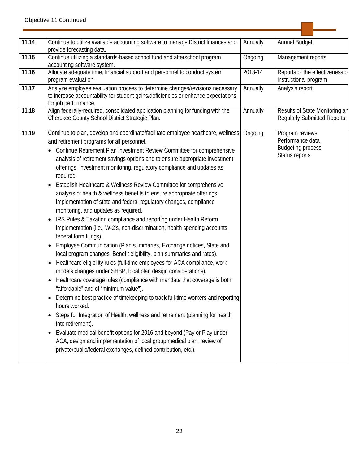| 11.14 | Continue to utilize available accounting software to manage District finances and<br>provide forecasting data.                                                                                                                                                                                                                                                                                                                                                                                                                                                                                                                                                                                                                                                                                                                                                                                                                                                                                                                                                                                                                                                                                                                                                                                                                                                                                                                                                                                                                                                                                                                                                                                                               | Annually | <b>Annual Budget</b>                                                              |
|-------|------------------------------------------------------------------------------------------------------------------------------------------------------------------------------------------------------------------------------------------------------------------------------------------------------------------------------------------------------------------------------------------------------------------------------------------------------------------------------------------------------------------------------------------------------------------------------------------------------------------------------------------------------------------------------------------------------------------------------------------------------------------------------------------------------------------------------------------------------------------------------------------------------------------------------------------------------------------------------------------------------------------------------------------------------------------------------------------------------------------------------------------------------------------------------------------------------------------------------------------------------------------------------------------------------------------------------------------------------------------------------------------------------------------------------------------------------------------------------------------------------------------------------------------------------------------------------------------------------------------------------------------------------------------------------------------------------------------------------|----------|-----------------------------------------------------------------------------------|
| 11.15 | Continue utilizing a standards-based school fund and afterschool program<br>accounting software system.                                                                                                                                                                                                                                                                                                                                                                                                                                                                                                                                                                                                                                                                                                                                                                                                                                                                                                                                                                                                                                                                                                                                                                                                                                                                                                                                                                                                                                                                                                                                                                                                                      | Ongoing  | Management reports                                                                |
| 11.16 | Allocate adequate time, financial support and personnel to conduct system<br>program evaluation.                                                                                                                                                                                                                                                                                                                                                                                                                                                                                                                                                                                                                                                                                                                                                                                                                                                                                                                                                                                                                                                                                                                                                                                                                                                                                                                                                                                                                                                                                                                                                                                                                             | 2013-14  | Reports of the effectiveness o<br>instructional program                           |
| 11.17 | Analyze employee evaluation process to determine changes/revisions necessary<br>to increase accountability for student gains/deficiencies or enhance expectations<br>for job performance.                                                                                                                                                                                                                                                                                                                                                                                                                                                                                                                                                                                                                                                                                                                                                                                                                                                                                                                                                                                                                                                                                                                                                                                                                                                                                                                                                                                                                                                                                                                                    | Annually | Analysis report                                                                   |
| 11.18 | Align federally-required, consolidated application planning for funding with the<br>Cherokee County School District Strategic Plan.                                                                                                                                                                                                                                                                                                                                                                                                                                                                                                                                                                                                                                                                                                                                                                                                                                                                                                                                                                                                                                                                                                                                                                                                                                                                                                                                                                                                                                                                                                                                                                                          | Annually | Results of State Monitoring an<br><b>Reqularly Submitted Reports</b>              |
| 11.19 | Continue to plan, develop and coordinate/facilitate employee healthcare, wellness<br>and retirement programs for all personnel.<br>Continue Retirement Plan Investment Review Committee for comprehensive<br>analysis of retirement savings options and to ensure appropriate investment<br>offerings, investment monitoring, regulatory compliance and updates as<br>required.<br>Establish Healthcare & Wellness Review Committee for comprehensive<br>analysis of health & wellness benefits to ensure appropriate offerings,<br>implementation of state and federal regulatory changes, compliance<br>monitoring, and updates as required.<br>IRS Rules & Taxation compliance and reporting under Health Reform<br>٠<br>implementation (i.e., W-2's, non-discrimination, health spending accounts,<br>federal form filings).<br>Employee Communication (Plan summaries, Exchange notices, State and<br>local program changes, Benefit eligibility, plan summaries and rates).<br>Healthcare eligibility rules (full-time employees for ACA compliance, work<br>models changes under SHBP, local plan design considerations).<br>Healthcare coverage rules (compliance with mandate that coverage is both<br>$\bullet$<br>"affordable" and of "minimum value").<br>Determine best practice of timekeeping to track full-time workers and reporting<br>hours worked.<br>Steps for Integration of Health, wellness and retirement (planning for health<br>$\bullet$<br>into retirement).<br>Evaluate medical benefit options for 2016 and beyond (Pay or Play under<br>$\bullet$<br>ACA, design and implementation of local group medical plan, review of<br>private/public/federal exchanges, defined contribution, etc.). | Ongoing  | Program reviews<br>Performance data<br><b>Budgeting process</b><br>Status reports |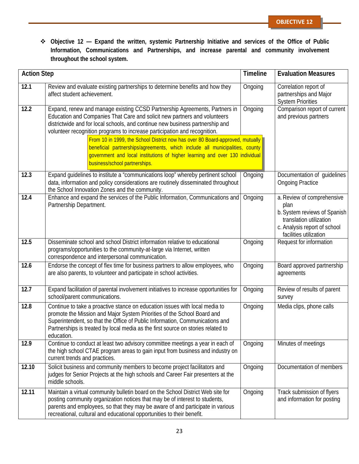**Objective 12 — Expand the written, systemic Partnership Initiative and services of the Office of Public Information, Communications and Partnerships, and increase parental and community involvement throughout the school system.**

| <b>Action Step</b> |                                                                                                                                                                                                                                                                                                                                          | <b>Timeline</b> | <b>Evaluation Measures</b>                                                                                                                              |
|--------------------|------------------------------------------------------------------------------------------------------------------------------------------------------------------------------------------------------------------------------------------------------------------------------------------------------------------------------------------|-----------------|---------------------------------------------------------------------------------------------------------------------------------------------------------|
| 12.1               | Review and evaluate existing partnerships to determine benefits and how they<br>affect student achievement.                                                                                                                                                                                                                              | Ongoing         | Correlation report of<br>partnerships and Major<br><b>System Priorities</b>                                                                             |
| 12.2               | Expand, renew and manage existing CCSD Partnership Agreements, Partners in<br>Education and Companies That Care and solicit new partners and volunteers<br>districtwide and for local schools, and continue new business partnership and<br>volunteer recognition programs to increase participation and recognition.                    | Ongoing         | Comparison report of current<br>and previous partners                                                                                                   |
|                    | From 10 in 1999, the School District now has over 80 Board-approved, mutually<br>beneficial partnerships/agreements, which include all municipalities, county<br>government and local institutions of higher learning and over 130 individual<br>business/school partnerships.                                                           |                 |                                                                                                                                                         |
| 12.3               | Expand guidelines to institute a "communications loop" whereby pertinent school<br>data, information and policy considerations are routinely disseminated throughout<br>the School Innovation Zones and the community.                                                                                                                   | Ongoing         | Documentation of guidelines<br><b>Ongoing Practice</b>                                                                                                  |
| 12.4               | Enhance and expand the services of the Public Information, Communications and<br>Partnership Department.                                                                                                                                                                                                                                 | Ongoing         | a. Review of comprehensive<br>plan<br>b. System reviews of Spanish<br>translation utilization<br>c. Analysis report of school<br>facilities utilization |
| 12.5               | Disseminate school and school District information relative to educational<br>programs/opportunities to the community-at-large via Internet, written<br>correspondence and interpersonal communication.                                                                                                                                  | Ongoing         | Request for information                                                                                                                                 |
| 12.6               | Endorse the concept of flex time for business partners to allow employees, who<br>are also parents, to volunteer and participate in school activities.                                                                                                                                                                                   | Ongoing         | Board approved partnership<br>agreements                                                                                                                |
| 12.7               | Expand facilitation of parental involvement initiatives to increase opportunities for<br>school/parent communications.                                                                                                                                                                                                                   | Ongoing         | Review of results of parent<br>survey                                                                                                                   |
| 12.8               | Continue to take a proactive stance on education issues with local media to<br>promote the Mission and Major System Priorities of the School Board and<br>Superintendent, so that the Office of Public Information, Communications and<br>Partnerships is treated by local media as the first source on stories related to<br>education. | Ongoing         | Media clips, phone calls                                                                                                                                |
| 12.9               | Continue to conduct at least two advisory committee meetings a year in each of<br>the high school CTAE program areas to gain input from business and industry on<br>current trends and practices.                                                                                                                                        | Ongoing         | Minutes of meetings                                                                                                                                     |
| 12.10              | Solicit business and community members to become project facilitators and<br>judges for Senior Projects at the high schools and Career Fair presenters at the<br>middle schools.                                                                                                                                                         | Ongoing         | Documentation of members                                                                                                                                |
| 12.11              | Maintain a virtual community bulletin board on the School District Web site for<br>posting community organization notices that may be of interest to students,<br>parents and employees, so that they may be aware of and participate in various<br>recreational, cultural and educational opportunities to their benefit.               | Ongoing         | Track submission of flyers<br>and information for posting                                                                                               |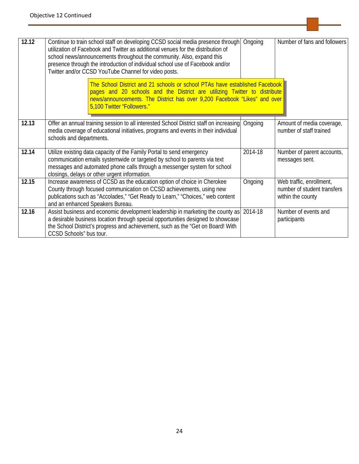| 12.12 | Continue to train school staff on developing CCSD social media presence through<br>utilization of Facebook and Twitter as additional venues for the distribution of<br>school news/announcements throughout the community. Also, expand this<br>presence through the introduction of individual school use of Facebook and/or<br>Twitter and/or CCSD YouTube Channel for video posts. | Ongoing | Number of fans and followers                                                 |
|-------|---------------------------------------------------------------------------------------------------------------------------------------------------------------------------------------------------------------------------------------------------------------------------------------------------------------------------------------------------------------------------------------|---------|------------------------------------------------------------------------------|
|       | The School District and 21 schools or school PTAs have established Facebook<br>pages and 20 schools and the District are utilizing Twitter to distribute<br>news/announcements. The District has over 9,200 Facebook "Likes" and over<br>5,100 Twitter "Followers."                                                                                                                   |         |                                                                              |
| 12.13 | Offer an annual training session to all interested School District staff on increasing<br>media coverage of educational initiatives, programs and events in their individual<br>schools and departments.                                                                                                                                                                              | Ongoing | Amount of media coverage,<br>number of staff trained                         |
| 12.14 | Utilize existing data capacity of the Family Portal to send emergency<br>communication emails systemwide or targeted by school to parents via text<br>messages and automated phone calls through a messenger system for school<br>closings, delays or other urgent information.                                                                                                       | 2014-18 | Number of parent accounts,<br>messages sent.                                 |
| 12.15 | Increase awareness of CCSD as the education option of choice in Cherokee<br>County through focused communication on CCSD achievements, using new<br>publications such as "Accolades," "Get Ready to Learn," "Choices," web content<br>and an enhanced Speakers Bureau.                                                                                                                | Ongoing | Web traffic, enrollment,<br>number of student transfers<br>within the county |
| 12.16 | Assist business and economic development leadership in marketing the county as<br>a desirable business location through special opportunities designed to showcase<br>the School District's progress and achievement, such as the "Get on Board! With<br>CCSD Schools" bus tour.                                                                                                      | 2014-18 | Number of events and<br>participants                                         |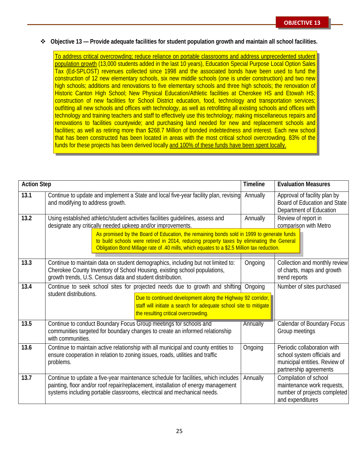**Objective 13 — Provide adequate facilities for student population growth and maintain all school facilities.**

To address critical overcrowding; reduce reliance on portable classrooms and address unprecedented student population growth (13,000 students added in the last 10 years), Education Special Purpose Local Option Sales Tax (Ed-SPLOST) revenues collected since 1998 and the associated bonds have been used to fund the construction of 12 new elementary schools, six new middle schools (one is under construction) and two new high schools; additions and renovations to five elementary schools and three high schools; the renovation of Historic Canton High School; New Physical Education/Athletic facilities at Cherokee HS and Etowah HS; construction of new facilities for School District education, food, technology and transportation services; outfitting all new schools and offices with technology, as well as retrofitting all existing schools and offices with technology and training teachers and staff to effectively use this technology; making miscellaneous repairs and renovations to facilities countywide; and purchasing land needed for new and replacement schools and facilities; as well as retiring more than \$268.7 Million of bonded indebtedness and interest. Each new school that has been constructed has been located in areas with the most critical school overcrowding. 83% of the funds for these projects has been derived locally and 100% of these funds have been spent locally.

| <b>Action Step</b> |                                                                                                                                                                                                                                                                                      | <b>Timeline</b> | <b>Evaluation Measures</b>                                                                                            |
|--------------------|--------------------------------------------------------------------------------------------------------------------------------------------------------------------------------------------------------------------------------------------------------------------------------------|-----------------|-----------------------------------------------------------------------------------------------------------------------|
| 13.1               | Continue to update and implement a State and local five-year facility plan, revising<br>and modifying to address growth.                                                                                                                                                             | Annually        | Approval of facility plan by<br>Board of Education and State<br>Department of Education                               |
| 13.2               | Using established athletic/student activities facilities guidelines, assess and<br>designate any critically needed upkeep and/or improvements.                                                                                                                                       | Annually        | Review of report in<br>comparison with Metro                                                                          |
|                    | As promised by the Board of Education, the remaining bonds sold in 1999 to generate funds<br>to build schools were retired in 2014, reducing property taxes by eliminating the General<br>Obligation Bond Millage rate of .40 mills, which equates to a \$2.5 Million tax reduction. |                 |                                                                                                                       |
| 13.3               | Continue to maintain data on student demographics, including but not limited to:<br>Cherokee County Inventory of School Housing, existing school populations,<br>growth trends, U.S. Census data and student distribution.                                                           | Ongoing         | Collection and monthly review<br>of charts, maps and growth<br>trend reports                                          |
| 13.4               | Continue to seek school sites for projected needs due to growth and shifting<br>student distributions.<br>Due to continued development along the Highway 92 corridor,<br>staff will initiate a search for adequate school site to mitigate<br>the resulting critical overcrowding.   | Ongoing         | Number of sites purchased                                                                                             |
| 13.5               | Continue to conduct Boundary Focus Group meetings for schools and<br>communities targeted for boundary changes to create an informed relationship<br>with communities.                                                                                                               | Annually        | Calendar of Boundary Focus<br>Group meetings                                                                          |
| 13.6               | Continue to maintain active relationship with all municipal and county entities to<br>ensure cooperation in relation to zoning issues, roads, utilities and traffic<br>problems.                                                                                                     | Ongoing         | Periodic collaboration with<br>school system officials and<br>municipal entities. Review of<br>partnership agreements |
| 13.7               | Continue to update a five-year maintenance schedule for facilities, which includes<br>painting, floor and/or roof repair/replacement, installation of energy management<br>systems including portable classrooms, electrical and mechanical needs.                                   | Annually        | Compilation of school<br>maintenance work requests,<br>number of projects completed<br>and expenditures               |